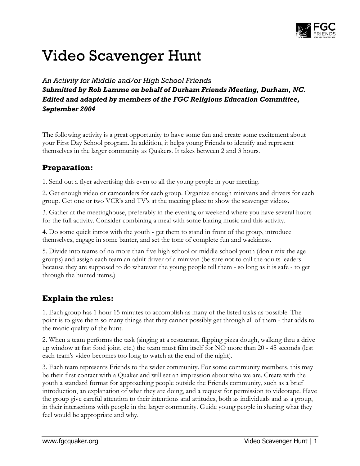

# Video Scavenger Hunt

*An Activity for Middle and/or High School Friends Submitted by Rob Lamme on behalf of Durham Friends Meeting, Durham, NC. Edited and adapted by members of the FGC Religious Education Committee, September 2004*

The following activity is a great opportunity to have some fun and create some excitement about your First Day School program. In addition, it helps young Friends to identify and represent themselves in the larger community as Quakers. It takes between 2 and 3 hours.

## **Preparation:**

1. Send out a flyer advertising this even to all the young people in your meeting.

2. Get enough video or camcorders for each group. Organize enough minivans and drivers for each group. Get one or two VCR's and TV's at the meeting place to show the scavenger videos.

3. Gather at the meetinghouse, preferably in the evening or weekend where you have several hours for the full activity. Consider combining a meal with some blaring music and this activity.

4. Do some quick intros with the youth - get them to stand in front of the group, introduce themselves, engage in some banter, and set the tone of complete fun and wackiness.

5. Divide into teams of no more than five high school or middle school youth (don't mix the age groups) and assign each team an adult driver of a minivan (be sure not to call the adults leaders because they are supposed to do whatever the young people tell them - so long as it is safe - to get through the hunted items.)

# **Explain the rules:**

1. Each group has 1 hour 15 minutes to accomplish as many of the listed tasks as possible. The point is to give them so many things that they cannot possibly get through all of them - that adds to the manic quality of the hunt.

2. When a team performs the task (singing at a restaurant, flipping pizza dough, walking thru a drive up window at fast food joint, etc.) the team must film itself for NO more than 20 - 45 seconds (lest each team's video becomes too long to watch at the end of the night).

3. Each team represents Friends to the wider community. For some community members, this may be their first contact with a Quaker and will set an impression about who we are. Create with the youth a standard format for approaching people outside the Friends community, such as a brief introduction, an explanation of what they are doing, and a request for permission to videotape. Have the group give careful attention to their intentions and attitudes, both as individuals and as a group, in their interactions with people in the larger community. Guide young people in sharing what they feel would be appropriate and why.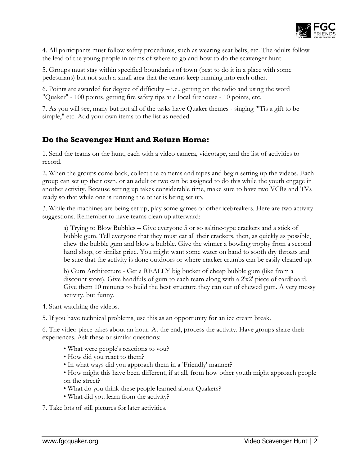

4. All participants must follow safety procedures, such as wearing seat belts, etc. The adults follow the lead of the young people in terms of where to go and how to do the scavenger hunt.

5. Groups must stay within specified boundaries of town (best to do it in a place with some pedestrians) but not such a small area that the teams keep running into each other.

6. Points are awarded for degree of difficulty – i.e., getting on the radio and using the word "Quaker" - 100 points, getting fire safety tips at a local firehouse - 10 points, etc.

7. As you will see, many but not all of the tasks have Quaker themes - singing "'Tis a gift to be simple," etc. Add your own items to the list as needed.

## **Do the Scavenger Hunt and Return Home:**

1. Send the teams on the hunt, each with a video camera, videotape, and the list of activities to record.

2. When the groups come back, collect the cameras and tapes and begin setting up the videos. Each group can set up their own, or an adult or two can be assigned to do this while the youth engage in another activity. Because setting up takes considerable time, make sure to have two VCRs and TVs ready so that while one is running the other is being set up.

3. While the machines are being set up, play some games or other icebreakers. Here are two activity suggestions. Remember to have teams clean up afterward:

a) Trying to Blow Bubbles – Give everyone 5 or so saltine-type crackers and a stick of bubble gum. Tell everyone that they must eat all their crackers, then, as quickly as possible, chew the bubble gum and blow a bubble. Give the winner a bowling trophy from a second hand shop, or similar prize. You might want some water on hand to sooth dry throats and be sure that the activity is done outdoors or where cracker crumbs can be easily cleaned up.

b) Gum Architecture - Get a REALLY big bucket of cheap bubble gum (like from a discount store). Give handfuls of gum to each team along with a 2'x2' piece of cardboard. Give them 10 minutes to build the best structure they can out of chewed gum. A very messy activity, but funny.

- 4. Start watching the videos.
- 5. If you have technical problems, use this as an opportunity for an ice cream break.

6. The video piece takes about an hour. At the end, process the activity. Have groups share their experiences. Ask these or similar questions:

- What were people's reactions to you?
- How did you react to them?
- In what ways did you approach them in a 'Friendly' manner?
- How might this have been different, if at all, from how other youth might approach people on the street?
- What do you think these people learned about Quakers?
- What did you learn from the activity?

7. Take lots of still pictures for later activities.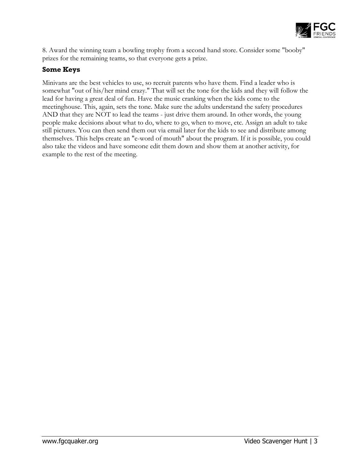

8. Award the winning team a bowling trophy from a second hand store. Consider some "booby" prizes for the remaining teams, so that everyone gets a prize.

#### **Some Keys**

Minivans are the best vehicles to use, so recruit parents who have them. Find a leader who is somewhat "out of his/her mind crazy." That will set the tone for the kids and they will follow the lead for having a great deal of fun. Have the music cranking when the kids come to the meetinghouse. This, again, sets the tone. Make sure the adults understand the safety procedures AND that they are NOT to lead the teams - just drive them around. In other words, the young people make decisions about what to do, where to go, when to move, etc. Assign an adult to take still pictures. You can then send them out via email later for the kids to see and distribute among themselves. This helps create an "e-word of mouth" about the program. If it is possible, you could also take the videos and have someone edit them down and show them at another activity, for example to the rest of the meeting.